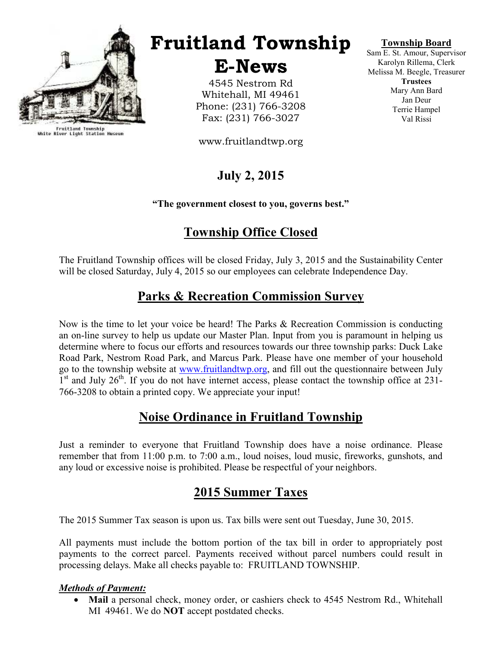

Fruitland Township<br>White River Light Station Museum

# Fruitland Township

E-News

4545 Nestrom Rd Whitehall, MI 49461 Phone: (231) 766-3208 Fax: (231) 766-3027

www.fruitlandtwp.org

# July 2, 2015

### "The government closest to you, governs best."

# Township Office Closed

The Fruitland Township offices will be closed Friday, July 3, 2015 and the Sustainability Center will be closed Saturday, July 4, 2015 so our employees can celebrate Independence Day.

## Parks & Recreation Commission Survey

Now is the time to let your voice be heard! The Parks & Recreation Commission is conducting an on-line survey to help us update our Master Plan. Input from you is paramount in helping us determine where to focus our efforts and resources towards our three township parks: Duck Lake Road Park, Nestrom Road Park, and Marcus Park. Please have one member of your household go to the township website at www.fruitlandtwp.org, and fill out the questionnaire between July 1<sup>st</sup> and July 26<sup>th</sup>. If you do not have internet access, please contact the township office at 231-766-3208 to obtain a printed copy. We appreciate your input!

### Noise Ordinance in Fruitland Township

Just a reminder to everyone that Fruitland Township does have a noise ordinance. Please remember that from 11:00 p.m. to 7:00 a.m., loud noises, loud music, fireworks, gunshots, and any loud or excessive noise is prohibited. Please be respectful of your neighbors.

### 2015 Summer Taxes

The 2015 Summer Tax season is upon us. Tax bills were sent out Tuesday, June 30, 2015.

All payments must include the bottom portion of the tax bill in order to appropriately post payments to the correct parcel. Payments received without parcel numbers could result in processing delays. Make all checks payable to: FRUITLAND TOWNSHIP.

### Methods of Payment:

Mail a personal check, money order, or cashiers check to 4545 Nestrom Rd., Whitehall MI 49461. We do **NOT** accept postdated checks.

### Township Board

Sam E. St. Amour, Supervisor Karolyn Rillema, Clerk Melissa M. Beegle, Treasurer **Trustees** Mary Ann Bard Jan Deur Terrie Hampel Val Rissi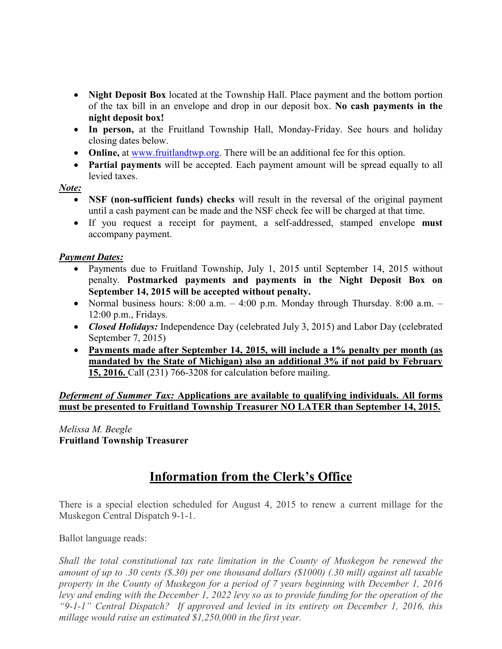- Night Deposit Box located at the Township Hall. Place payment and the bottom portion of the tax bill in an envelope and drop in our deposit box. No cash payments in the night deposit box!
- In person, at the Fruitland Township Hall, Monday-Friday. See hours and holiday closing dates below.
- Online, at www.fruitlandtwp.org. There will be an additional fee for this option.
- Partial payments will be accepted. Each payment amount will be spread equally to all levied taxes.

### Note:

- NSF (non-sufficient funds) checks will result in the reversal of the original payment until a cash payment can be made and the NSF check fee will be charged at that time.
- If you request a receipt for payment, a self-addressed, stamped envelope **must** accompany payment.

### **Payment Dates:**

- Payments due to Fruitland Township, July 1, 2015 until September 14, 2015 without penalty. Postmarked payments and payments in the Night Deposit Box on September 14, 2015 will be accepted without penalty.
- Normal business hours:  $8:00$  a.m.  $-4:00$  p.m. Monday through Thursday.  $8:00$  a.m.  $-$ 12:00 p.m., Fridays.
- Closed Holidays: Independence Day (celebrated July 3, 2015) and Labor Day (celebrated September 7, 2015)
- Payments made after September 14, 2015, will include a 1% penalty per month (as mandated by the State of Michigan) also an additional 3% if not paid by February 15, 2016. Call (231) 766-3208 for calculation before mailing.

Deferment of Summer Tax: Applications are available to qualifying individuals. All forms must be presented to Fruitland Township Treasurer NO LATER than September 14, 2015.

Melissa M. Beegle Fruitland Township Treasurer

### Information from the Clerk's Office

There is a special election scheduled for August 4, 2015 to renew a current millage for the Muskegon Central Dispatch 9-1-1.

Ballot language reads:

Shall the total constitutional tax rate limitation in the County of Muskegon be renewed the amount of up to .30 cents (\$.30) per one thousand dollars (\$1000) (.30 mill) against all taxable property in the County of Muskegon for a period of 7 years beginning with December 1, 2016 levy and ending with the December 1, 2022 levy so as to provide funding for the operation of the "9-1-1" Central Dispatch? If approved and levied in its entirety on December 1, 2016, this millage would raise an estimated \$1,250,000 in the first year.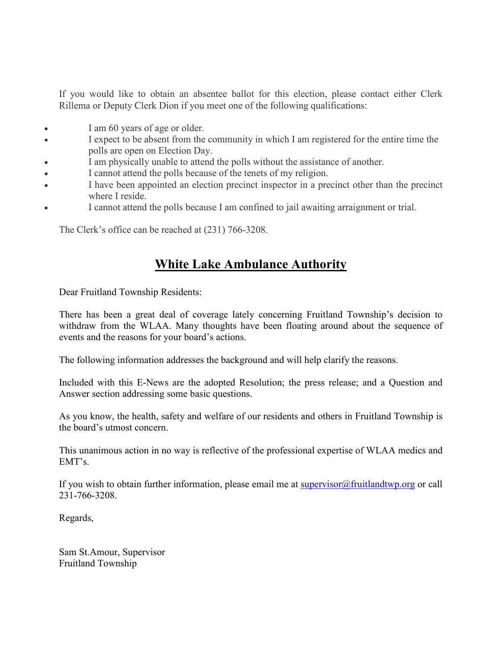If you would like to obtain an absentee ballot for this election, please contact either Clerk Rillema or Deputy Clerk Dion if you meet one of the following qualifications:

- I am 60 years of age or older.
- I expect to be absent from the community in which I am registered for the entire time the polls are open on Election Day.
- I am physically unable to attend the polls without the assistance of another.
- I cannot attend the polls because of the tenets of my religion.
- I have been appointed an election precinct inspector in a precinct other than the precinct where I reside.
- I cannot attend the polls because I am confined to jail awaiting arraignment or trial.

The Clerk's office can be reached at (231) 766-3208.

### White Lake Ambulance Authority

Dear Fruitland Township Residents:

There has been a great deal of coverage lately concerning Fruitland Township's decision to withdraw from the WLAA. Many thoughts have been floating around about the sequence of events and the reasons for your board's actions.

The following information addresses the background and will help clarify the reasons.

Included with this E-News are the adopted Resolution; the press release; and a Question and Answer section addressing some basic questions.

As you know, the health, safety and welfare of our residents and others in Fruitland Township is the board's utmost concern.

This unanimous action in no way is reflective of the professional expertise of WLAA medics and EMT's.

If you wish to obtain further information, please email me at supervisor@fruitlandtwp.org or call 231-766-3208.

Regards,

Sam St.Amour, Supervisor Fruitland Township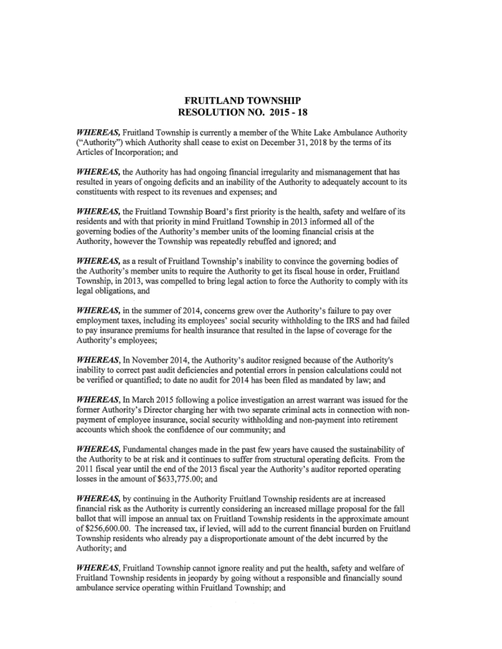#### **FRUITLAND TOWNSHIP RESOLUTION NO. 2015 - 18**

**WHEREAS**, Fruitland Township is currently a member of the White Lake Ambulance Authority ("Authority") which Authority shall cease to exist on December 31, 2018 by the terms of its Articles of Incorporation; and

WHEREAS, the Authority has had ongoing financial irregularity and mismanagement that has resulted in years of ongoing deficits and an inability of the Authority to adequately account to its constituents with respect to its revenues and expenses; and

WHEREAS, the Fruitland Township Board's first priority is the health, safety and welfare of its residents and with that priority in mind Fruitland Township in 2013 informed all of the governing bodies of the Authority's member units of the looming financial crisis at the Authority, however the Township was repeatedly rebuffed and ignored; and

**WHEREAS**, as a result of Fruitland Township's inability to convince the governing bodies of the Authority's member units to require the Authority to get its fiscal house in order, Fruitland Township, in 2013, was compelled to bring legal action to force the Authority to comply with its legal obligations, and

**WHEREAS**, in the summer of 2014, concerns grew over the Authority's failure to pay over employment taxes, including its employees' social security withholding to the IRS and had failed to pay insurance premiums for health insurance that resulted in the lapse of coverage for the Authority's employees;

**WHEREAS**, In November 2014, the Authority's auditor resigned because of the Authority's inability to correct past audit deficiencies and potential errors in pension calculations could not be verified or quantified; to date no audit for 2014 has been filed as mandated by law; and

**WHEREAS**, In March 2015 following a police investigation an arrest warrant was issued for the former Authority's Director charging her with two separate criminal acts in connection with nonpayment of employee insurance, social security withholding and non-payment into retirement accounts which shook the confidence of our community; and

**WHEREAS**, Fundamental changes made in the past few years have caused the sustainability of the Authority to be at risk and it continues to suffer from structural operating deficits. From the 2011 fiscal year until the end of the 2013 fiscal year the Authority's auditor reported operating losses in the amount of \$633,775.00; and

**WHEREAS**, by continuing in the Authority Fruitland Township residents are at increased financial risk as the Authority is currently considering an increased millage proposal for the fall ballot that will impose an annual tax on Fruitland Township residents in the approximate amount of \$256,600.00. The increased tax, if levied, will add to the current financial burden on Fruitland Township residents who already pay a disproportionate amount of the debt incurred by the Authority; and

**WHEREAS**, Fruitland Township cannot ignore reality and put the health, safety and welfare of Fruitland Township residents in jeopardy by going without a responsible and financially sound ambulance service operating within Fruitland Township; and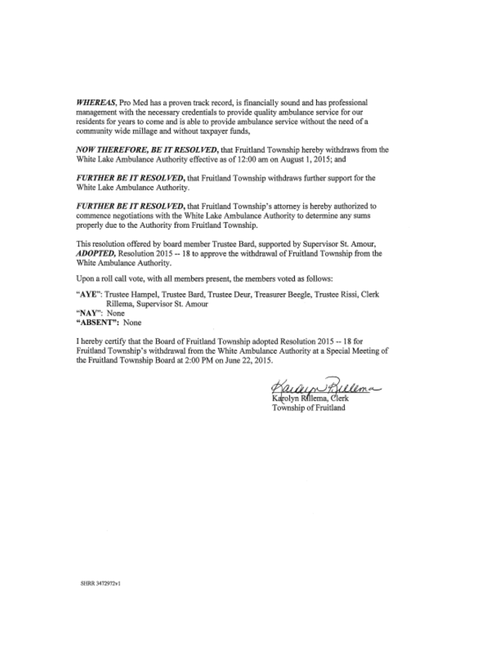WHEREAS, Pro Med has a proven track record, is financially sound and has professional management with the necessary credentials to provide quality ambulance service for our residents for years to come and is able to provide ambulance service without the need of a community wide millage and without taxpayer funds,

NOW THEREFORE, BE IT RESOLVED, that Fruitland Township hereby withdraws from the White Lake Ambulance Authority effective as of 12:00 am on August 1, 2015; and

FURTHER BE IT RESOLVED, that Fruitland Township withdraws further support for the White Lake Ambulance Authority.

FURTHER BE IT RESOLVED, that Fruitland Township's attorney is hereby authorized to commence negotiations with the White Lake Ambulance Authority to determine any sums properly due to the Authority from Fruitland Township.

This resolution offered by board member Trustee Bard, supported by Supervisor St. Amour, **ADOPTED**, Resolution 2015 -- 18 to approve the withdrawal of Fruitland Township from the White Ambulance Authority.

Upon a roll call vote, with all members present, the members voted as follows:

"AYE": Trustee Hampel, Trustee Bard, Trustee Deur, Treasurer Beegle, Trustee Rissi, Clerk Rillema, Supervisor St. Amour "NAY": None "ABSENT": None

I hereby certify that the Board of Fruitland Township adopted Resolution 2015 -- 18 for Fruitland Township's withdrawal from the White Ambulance Authority at a Special Meeting of the Fruitland Township Board at 2:00 PM on June 22, 2015.

*Kararn Rillema*<br>Karolyn Rhiema, Clerk

Township of Fruitland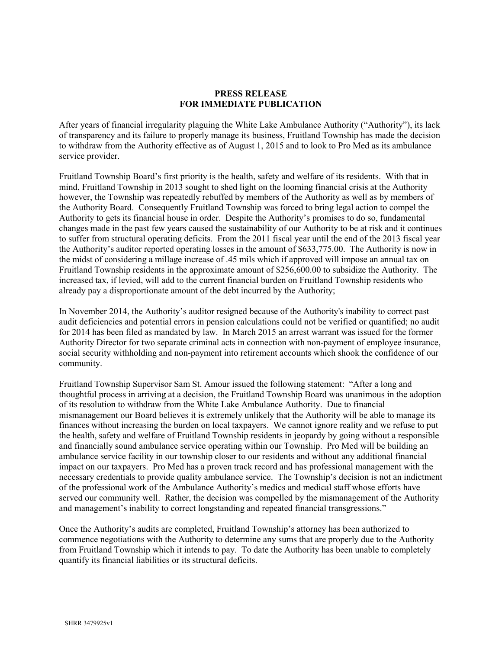#### PRESS RELEASE FOR IMMEDIATE PUBLICATION

After years of financial irregularity plaguing the White Lake Ambulance Authority ("Authority"), its lack of transparency and its failure to properly manage its business, Fruitland Township has made the decision to withdraw from the Authority effective as of August 1, 2015 and to look to Pro Med as its ambulance service provider.

Fruitland Township Board's first priority is the health, safety and welfare of its residents. With that in mind, Fruitland Township in 2013 sought to shed light on the looming financial crisis at the Authority however, the Township was repeatedly rebuffed by members of the Authority as well as by members of the Authority Board. Consequently Fruitland Township was forced to bring legal action to compel the Authority to gets its financial house in order. Despite the Authority's promises to do so, fundamental changes made in the past few years caused the sustainability of our Authority to be at risk and it continues to suffer from structural operating deficits. From the 2011 fiscal year until the end of the 2013 fiscal year the Authority's auditor reported operating losses in the amount of \$633,775.00. The Authority is now in the midst of considering a millage increase of .45 mils which if approved will impose an annual tax on Fruitland Township residents in the approximate amount of \$256,600.00 to subsidize the Authority. The increased tax, if levied, will add to the current financial burden on Fruitland Township residents who already pay a disproportionate amount of the debt incurred by the Authority;

In November 2014, the Authority's auditor resigned because of the Authority's inability to correct past audit deficiencies and potential errors in pension calculations could not be verified or quantified; no audit for 2014 has been filed as mandated by law. In March 2015 an arrest warrant was issued for the former Authority Director for two separate criminal acts in connection with non-payment of employee insurance, social security withholding and non-payment into retirement accounts which shook the confidence of our community.

Fruitland Township Supervisor Sam St. Amour issued the following statement: "After a long and thoughtful process in arriving at a decision, the Fruitland Township Board was unanimous in the adoption of its resolution to withdraw from the White Lake Ambulance Authority. Due to financial mismanagement our Board believes it is extremely unlikely that the Authority will be able to manage its finances without increasing the burden on local taxpayers. We cannot ignore reality and we refuse to put the health, safety and welfare of Fruitland Township residents in jeopardy by going without a responsible and financially sound ambulance service operating within our Township. Pro Med will be building an ambulance service facility in our township closer to our residents and without any additional financial impact on our taxpayers. Pro Med has a proven track record and has professional management with the necessary credentials to provide quality ambulance service. The Township's decision is not an indictment of the professional work of the Ambulance Authority's medics and medical staff whose efforts have served our community well. Rather, the decision was compelled by the mismanagement of the Authority and management's inability to correct longstanding and repeated financial transgressions."

Once the Authority's audits are completed, Fruitland Township's attorney has been authorized to commence negotiations with the Authority to determine any sums that are properly due to the Authority from Fruitland Township which it intends to pay. To date the Authority has been unable to completely quantify its financial liabilities or its structural deficits.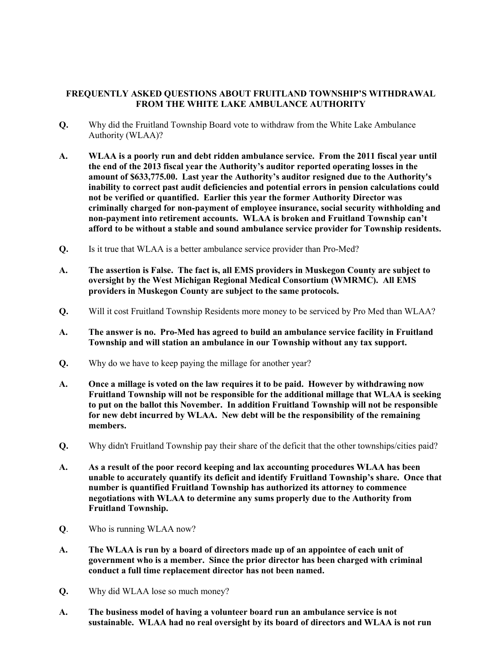#### FREQUENTLY ASKED QUESTIONS ABOUT FRUITLAND TOWNSHIP'S WITHDRAWAL FROM THE WHITE LAKE AMBULANCE AUTHORITY

- Q. Why did the Fruitland Township Board vote to withdraw from the White Lake Ambulance Authority (WLAA)?
- A. WLAA is a poorly run and debt ridden ambulance service. From the 2011 fiscal year until the end of the 2013 fiscal year the Authority's auditor reported operating losses in the amount of \$633,775.00. Last year the Authority's auditor resigned due to the Authority's inability to correct past audit deficiencies and potential errors in pension calculations could not be verified or quantified. Earlier this year the former Authority Director was criminally charged for non-payment of employee insurance, social security withholding and non-payment into retirement accounts. WLAA is broken and Fruitland Township can't afford to be without a stable and sound ambulance service provider for Township residents.
- Q. Is it true that WLAA is a better ambulance service provider than Pro-Med?
- A. The assertion is False. The fact is, all EMS providers in Muskegon County are subject to oversight by the West Michigan Regional Medical Consortium (WMRMC). All EMS providers in Muskegon County are subject to the same protocols.
- Q. Will it cost Fruitland Township Residents more money to be serviced by Pro Med than WLAA?
- A. The answer is no. Pro-Med has agreed to build an ambulance service facility in Fruitland Township and will station an ambulance in our Township without any tax support.
- Q. Why do we have to keep paying the millage for another year?
- A. Once a millage is voted on the law requires it to be paid. However by withdrawing now Fruitland Township will not be responsible for the additional millage that WLAA is seeking to put on the ballot this November. In addition Fruitland Township will not be responsible for new debt incurred by WLAA. New debt will be the responsibility of the remaining members.
- Q. Why didn't Fruitland Township pay their share of the deficit that the other townships/cities paid?
- A. As a result of the poor record keeping and lax accounting procedures WLAA has been unable to accurately quantify its deficit and identify Fruitland Township's share. Once that number is quantified Fruitland Township has authorized its attorney to commence negotiations with WLAA to determine any sums properly due to the Authority from Fruitland Township.
- Q. Who is running WLAA now?
- A. The WLAA is run by a board of directors made up of an appointee of each unit of government who is a member. Since the prior director has been charged with criminal conduct a full time replacement director has not been named.
- Q. Why did WLAA lose so much money?
- A. The business model of having a volunteer board run an ambulance service is not sustainable. WLAA had no real oversight by its board of directors and WLAA is not run